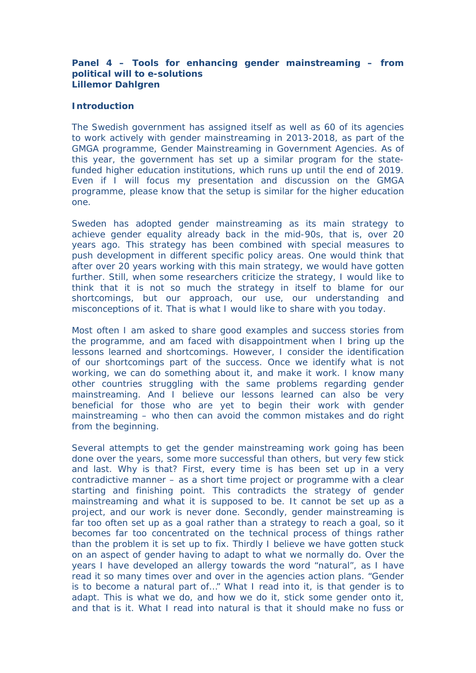**Panel 4 – Tools for enhancing gender mainstreaming – from political will to e-solutions Lillemor Dahlgren**

## **Introduction**

The Swedish government has assigned itself as well as 60 of its agencies to work actively with gender mainstreaming in 2013-2018, as part of the GMGA programme, Gender Mainstreaming in Government Agencies. As of this year, the government has set up a similar program for the statefunded higher education institutions, which runs up until the end of 2019. Even if I will focus my presentation and discussion on the GMGA programme, please know that the setup is similar for the higher education one.

Sweden has adopted gender mainstreaming as its main strategy to achieve gender equality already back in the mid-90s, that is, over 20 years ago. This strategy has been combined with special measures to push development in different specific policy areas. One would think that after over 20 years working with this main strategy, we would have gotten further. Still, when some researchers criticize the strategy, I would like to think that it is not so much the strategy in itself to blame for our shortcomings, but our approach, our use, our understanding and misconceptions of it. That is what I would like to share with you today.

Most often I am asked to share good examples and success stories from the programme, and am faced with disappointment when I bring up the lessons learned and shortcomings. However, I consider the identification of our shortcomings part of the success. Once we identify what is not working, we can do something about it, and make it work. I know many other countries struggling with the same problems regarding gender mainstreaming. And I believe our lessons learned can also be very beneficial for those who are yet to begin their work with gender mainstreaming – who then can avoid the common mistakes and do right from the beginning.

Several attempts to get the gender mainstreaming work going has been done over the years, some more successful than others, but very few stick and last. Why is that? First, every time is has been set up in a very contradictive manner – as a short time project or programme with a clear starting and finishing point. This contradicts the strategy of gender mainstreaming and what it is supposed to be. It cannot be set up as a project, and our work is never done. Secondly, gender mainstreaming is far too often set up as a goal rather than a strategy to reach a goal, so it becomes far too concentrated on the technical process of things rather than the problem it is set up to fix. Thirdly I believe we have gotten stuck on an aspect of gender having to adapt to what we normally do. Over the years I have developed an allergy towards the word "natural", as I have read it so many times over and over in the agencies action plans. "Gender is to become a natural part of…" What I read into it, is that gender is to adapt. This is what we do, and how we do it, stick some gender onto it, and that is it. What I read into natural is that it should make no fuss or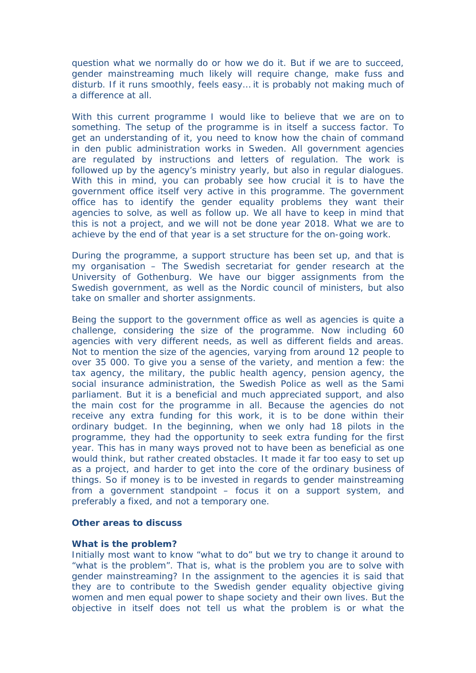question what we normally do or how we do it. But if we are to succeed, gender mainstreaming much likely will require change, make fuss and disturb. If it runs smoothly, feels easy… it is probably not making much of a difference at all.

With this current programme I would like to believe that we are on to something. The setup of the programme is in itself a success factor. To get an understanding of it, you need to know how the chain of command in den public administration works in Sweden. All government agencies are regulated by instructions and letters of regulation. The work is followed up by the agency's ministry yearly, but also in regular dialogues. With this in mind, you can probably see how crucial it is to have the government office itself very active in this programme. The government office has to identify the gender equality problems they want their agencies to solve, as well as follow up. We all have to keep in mind that this is not a project, and we will not be done year 2018. What we are to achieve by the end of that year is a set structure for the on-going work.

During the programme, a support structure has been set up, and that is my organisation – The Swedish secretariat for gender research at the University of Gothenburg. We have our bigger assignments from the Swedish government, as well as the Nordic council of ministers, but also take on smaller and shorter assignments.

Being the support to the government office as well as agencies is quite a challenge, considering the size of the programme. Now including 60 agencies with very different needs, as well as different fields and areas. Not to mention the size of the agencies, varying from around 12 people to over 35 000. To give you a sense of the variety, and mention a few: the tax agency, the military, the public health agency, pension agency, the social insurance administration, the Swedish Police as well as the Sami parliament. But it is a beneficial and much appreciated support, and also the main cost for the programme in all. Because the agencies do not receive any extra funding for this work, it is to be done within their ordinary budget. In the beginning, when we only had 18 pilots in the programme, they had the opportunity to seek extra funding for the first year. This has in many ways proved not to have been as beneficial as one would think, but rather created obstacles. It made it far too easy to set up as a project, and harder to get into the core of the ordinary business of things. So if money is to be invested in regards to gender mainstreaming from a government standpoint – focus it on a support system, and preferably a fixed, and not a temporary one.

**Other areas to discuss**

## **What is the problem?**

Initially most want to know "what to do" but we try to change it around to "what is the problem". That is, what is the problem you are to solve with gender mainstreaming? In the assignment to the agencies it is said that they are to contribute to the Swedish gender equality objective giving women and men equal power to shape society and their own lives. But the objective in itself does not tell us what the problem is or what the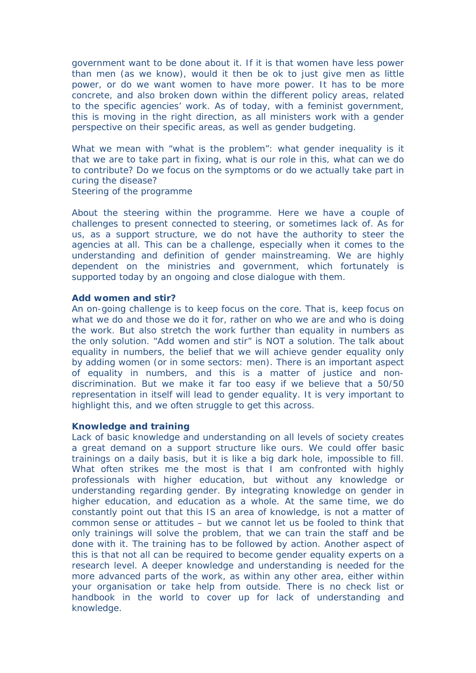government want to be done about it. If it is that women have less power than men (as we know), would it then be ok to just give men as little power, or do we want women to have more power. It has to be more concrete, and also broken down within the different policy areas, related to the specific agencies' work. As of today, with a feminist government, this is moving in the right direction, as all ministers work with a gender perspective on their specific areas, as well as gender budgeting.

What we mean with "what is the problem": what gender inequality is it that we are to take part in fixing, what is our role in this, what can we do to contribute? Do we focus on the symptoms or do we actually take part in curing the disease?

Steering of the programme

About the steering within the programme. Here we have a couple of challenges to present connected to steering, or sometimes lack of. As for us, as a support structure, we do not have the authority to steer the agencies at all. This can be a challenge, especially when it comes to the understanding and definition of gender mainstreaming. We are highly dependent on the ministries and government, which fortunately is supported today by an ongoing and close dialogue with them.

## **Add women and stir?**

An on-going challenge is to keep focus on the core. That is, keep focus on what we do and those we do it for, rather on who we are and who is doing the work. But also stretch the work further than equality in numbers as the only solution. "Add women and stir" is NOT a solution. The talk about equality in numbers, the belief that we will achieve gender equality only by adding women (or in some sectors: men). There is an important aspect of equality in numbers, and this is a matter of justice and nondiscrimination. But we make it far too easy if we believe that a 50/50 representation in itself will lead to gender equality. It is very important to highlight this, and we often struggle to get this across.

## **Knowledge and training**

Lack of basic knowledge and understanding on all levels of society creates a great demand on a support structure like ours. We could offer basic trainings on a daily basis, but it is like a big dark hole, impossible to fill. What often strikes me the most is that I am confronted with highly professionals with higher education, but without any knowledge or understanding regarding gender. By integrating knowledge on gender in higher education, and education as a whole. At the same time, we do constantly point out that this IS an area of knowledge, is not a matter of common sense or attitudes – but we cannot let us be fooled to think that only trainings will solve the problem, that we can train the staff and be done with it. The training has to be followed by action. Another aspect of this is that not all can be required to become gender equality experts on a research level. A deeper knowledge and understanding is needed for the more advanced parts of the work, as within any other area, either within your organisation or take help from outside. There is no check list or handbook in the world to cover up for lack of understanding and knowledge.